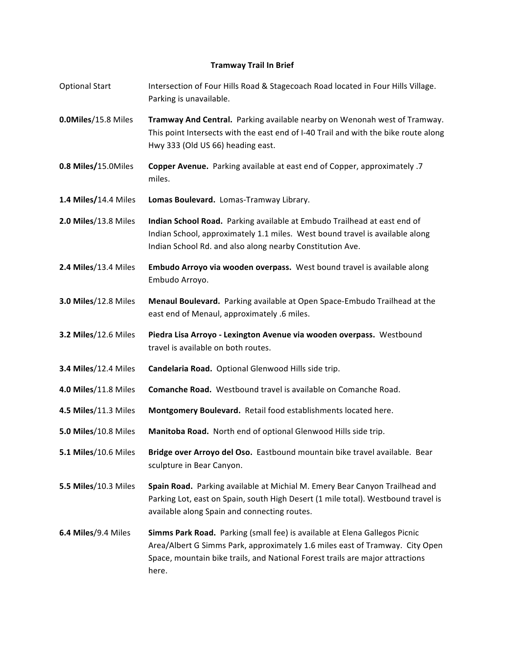## **Tramway Trail In Brief**

- Optional Start **Intersection of Four Hills Road & Stagecoach Road located in Four Hills Village.** Parking is unavailable.
- **0.0Miles/15.8 Miles Tramway And Central.** Parking available nearby on Wenonah west of Tramway. This point Intersects with the east end of I-40 Trail and with the bike route along Hwy 333 (Old US 66) heading east.
- **0.8 Miles/15.0Miles Copper Avenue.** Parking available at east end of Copper, approximately .7 miles.
- **1.4 Miles/14.4 Miles Lomas Boulevard.** Lomas-Tramway Library.
- **2.0 Miles/13.8 Miles Indian School Road.** Parking available at Embudo Trailhead at east end of Indian School, approximately 1.1 miles. West bound travel is available along Indian School Rd. and also along nearby Constitution Ave.
- **2.4 Miles/13.4 Miles Embudo Arroyo via wooden overpass.** West bound travel is available along Embudo Arroyo.
- **3.0 Miles/12.8 Miles Menaul Boulevard.** Parking available at Open Space-Embudo Trailhead at the east end of Menaul, approximately .6 miles.
- **3.2 Miles/12.6 Miles Piedra Lisa Arroyo Lexington Avenue via wooden overpass.** Westbound travel is available on both routes.
- **3.4 Miles/12.4 Miles Candelaria Road.** Optional Glenwood Hills side trip.
- **4.0 Miles/11.8 Miles Comanche Road.** Westbound travel is available on Comanche Road.
- **4.5 Miles/11.3 Miles Montgomery Boulevard.** Retail food establishments located here.
- **5.0 Miles**/10.8 Miles **Manitoba Road.** North end of optional Glenwood Hills side trip.
- **5.1 Miles**/10.6 Miles **Bridge over Arroyo del Oso.** Eastbound mountain bike travel available. Bear sculpture in Bear Canyon.
- **5.5 Miles/10.3** Miles **Spain Road.** Parking available at Michial M. Emery Bear Canyon Trailhead and Parking Lot, east on Spain, south High Desert (1 mile total). Westbound travel is available along Spain and connecting routes.
- **6.4 Miles**/9.4 Miles **Simms Park Road.** Parking (small fee) is available at Elena Gallegos Picnic Area/Albert G Simms Park, approximately 1.6 miles east of Tramway. City Open Space, mountain bike trails, and National Forest trails are major attractions here.